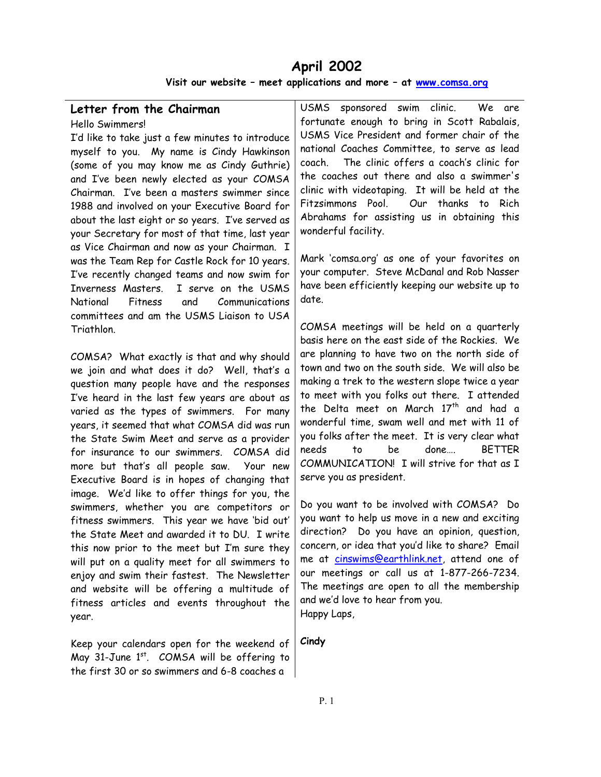# **April 2002**

**Visit our website – meet applications and more – at [www.comsa.org](http://www.comsa.org/)**

# **Letter from the Chairman**

Hello Swimmers!

I'd like to take just a few minutes to introduce myself to you. My name is Cindy Hawkinson (some of you may know me as Cindy Guthrie) and I've been newly elected as your COMSA Chairman. I've been a masters swimmer since 1988 and involved on your Executive Board for about the last eight or so years. I've served as your Secretary for most of that time, last year as Vice Chairman and now as your Chairman. I was the Team Rep for Castle Rock for 10 years. I've recently changed teams and now swim for Inverness Masters. I serve on the USMS National Fitness and Communications committees and am the USMS Liaison to USA Triathlon.

COMSA? What exactly is that and why should we join and what does it do? Well, that's a question many people have and the responses I've heard in the last few years are about as varied as the types of swimmers. For many years, it seemed that what COMSA did was run the State Swim Meet and serve as a provider for insurance to our swimmers. COMSA did more but that's all people saw. Your new Executive Board is in hopes of changing that image. We'd like to offer things for you, the swimmers, whether you are competitors or fitness swimmers. This year we have 'bid out' the State Meet and awarded it to DU. I write this now prior to the meet but I'm sure they will put on a quality meet for all swimmers to enjoy and swim their fastest. The Newsletter and website will be offering a multitude of fitness articles and events throughout the year.

Keep your calendars open for the weekend of May 31-June  $1<sup>st</sup>$ . COMSA will be offering to the first 30 or so swimmers and 6-8 coaches a

USMS sponsored swim clinic. We are fortunate enough to bring in Scott Rabalais, USMS Vice President and former chair of the national Coaches Committee, to serve as lead coach. The clinic offers a coach's clinic for the coaches out there and also a swimmer's clinic with videotaping. It will be held at the Fitzsimmons Pool. Our thanks to Rich Abrahams for assisting us in obtaining this wonderful facility.

Mark 'comsa.org' as one of your favorites on your computer. Steve McDanal and Rob Nasser have been efficiently keeping our website up to date.

COMSA meetings will be held on a quarterly basis here on the east side of the Rockies. We are planning to have two on the north side of town and two on the south side. We will also be making a trek to the western slope twice a year to meet with you folks out there. I attended the Delta meet on March  $17<sup>th</sup>$  and had a wonderful time, swam well and met with 11 of you folks after the meet. It is very clear what needs to be done…. BETTER COMMUNICATION! I will strive for that as I serve you as president.

Do you want to be involved with COMSA? Do you want to help us move in a new and exciting direction? Do you have an opinion, question, concern, or idea that you'd like to share? Email me at [cinswims@earthlink.net,](mailto:cinswims@earthlink.net) attend one of our meetings or call us at 1-877-266-7234. The meetings are open to all the membership and we'd love to hear from you. Happy Laps,

**Cindy**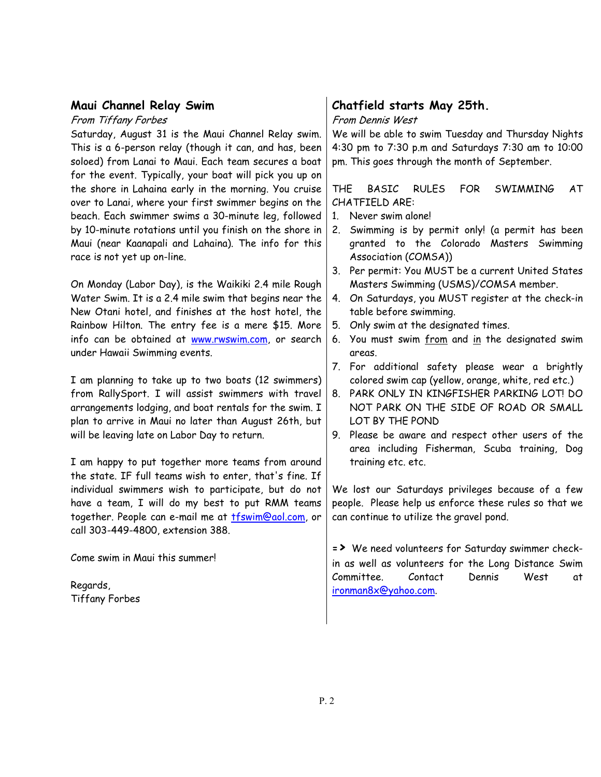## **Maui Channel Relay Swim**

From Tiffany Forbes

Saturday, August 31 is the Maui Channel Relay swim. This is a 6-person relay (though it can, and has, been soloed) from Lanai to Maui. Each team secures a boat for the event. Typically, your boat will pick you up on the shore in Lahaina early in the morning. You cruise over to Lanai, where your first swimmer begins on the beach. Each swimmer swims a 30-minute leg, followed by 10-minute rotations until you finish on the shore in Maui (near Kaanapali and Lahaina). The info for this race is not yet up on-line.

On Monday (Labor Day), is the Waikiki 2.4 mile Rough Water Swim. It is a 2.4 mile swim that begins near the New Otani hotel, and finishes at the host hotel, the Rainbow Hilton. The entry fee is a mere \$15. More info can be obtained at [www.rwswim.com,](http://www.rwswim.com/) or search under Hawaii Swimming events.

I am planning to take up to two boats (12 swimmers) from RallySport. I will assist swimmers with travel arrangements lodging, and boat rentals for the swim. I plan to arrive in Maui no later than August 26th, but will be leaving late on Labor Day to return.

I am happy to put together more teams from around the state. IF full teams wish to enter, that's fine. If individual swimmers wish to participate, but do not have a team, I will do my best to put RMM teams together. People can e-mail me at **tfswim@aol.com**, or call 303-449-4800, extension 388.

Come swim in Maui this summer!

Regards, Tiffany Forbes

# **Chatfield starts May 25th.**

#### From Dennis West

We will be able to swim Tuesday and Thursday Nights 4:30 pm to 7:30 p.m and Saturdays 7:30 am to 10:00 pm. This goes through the month of September.

THE BASIC RULES FOR SWIMMING AT CHATFIELD ARE:

- 1. Never swim alone!
- 2. Swimming is by permit only! (a permit has been granted to the Colorado Masters Swimming Association (COMSA))
- 3. Per permit: You MUST be a current United States Masters Swimming (USMS)/COMSA member.
- 4. On Saturdays, you MUST register at the check-in table before swimming.
- 5. Only swim at the designated times.
- 6. You must swim from and in the designated swim areas.
- 7. For additional safety please wear a brightly colored swim cap (yellow, orange, white, red etc.)
- 8. PARK ONLY IN KINGFISHER PARKING LOT! DO NOT PARK ON THE SIDE OF ROAD OR SMALL LOT BY THE POND
- 9. Please be aware and respect other users of the area including Fisherman, Scuba training, Dog training etc. etc.

We lost our Saturdays privileges because of a few people. Please help us enforce these rules so that we can continue to utilize the gravel pond.

**=>** We need volunteers for Saturday swimmer checkin as well as volunteers for the Long Distance Swim Committee. Contact Dennis West at [ironman8x@yahoo.com](mailto:ironman8x@yahoo.com).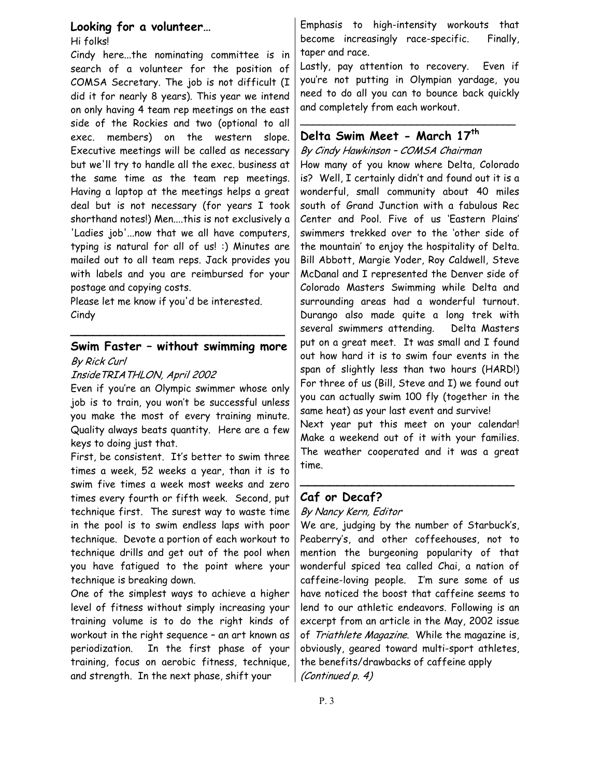# **Looking for a volunteer…**

Hi folks!

Cindy here...the nominating committee is in search of a volunteer for the position of COMSA Secretary. The job is not difficult (I did it for nearly 8 years). This year we intend on only having 4 team rep meetings on the east side of the Rockies and two (optional to all exec. members) on the western slope. Executive meetings will be called as necessary but we'll try to handle all the exec. business at the same time as the team rep meetings. Having a laptop at the meetings helps a great deal but is not necessary (for years I took shorthand notes!) Men....this is not exclusively a 'Ladies job'...now that we all have computers, typing is natural for all of us! :) Minutes are mailed out to all team reps. Jack provides you with labels and you are reimbursed for your postage and copying costs.

Please let me know if you'd be interested. Cindy

## **Swim Faster – without swimming more**  By Rick Curl

**\_\_\_\_\_\_\_\_\_\_\_\_\_\_\_\_\_\_\_\_\_\_\_\_\_\_\_\_\_** 

#### InsideTRIATHLON, April 2002

Even if you're an Olympic swimmer whose only job is to train, you won't be successful unless you make the most of every training minute. Quality always beats quantity. Here are a few keys to doing just that.

First, be consistent. It's better to swim three times a week, 52 weeks a year, than it is to swim five times a week most weeks and zero times every fourth or fifth week. Second, put technique first. The surest way to waste time in the pool is to swim endless laps with poor technique. Devote a portion of each workout to technique drills and get out of the pool when you have fatigued to the point where your technique is breaking down.

One of the simplest ways to achieve a higher level of fitness without simply increasing your training volume is to do the right kinds of workout in the right sequence – an art known as periodization. In the first phase of your training, focus on aerobic fitness, technique, and strength. In the next phase, shift your

Emphasis to high-intensity workouts that become increasingly race-specific. Finally, taper and race.

Lastly, pay attention to recovery. Even if you're not putting in Olympian yardage, you need to do all you can to bounce back quickly and completely from each workout.

\_\_\_\_\_\_\_\_\_\_\_\_\_\_\_\_\_\_\_\_\_\_\_\_\_\_\_\_\_\_\_\_\_\_\_

# **Delta Swim Meet - March 17th**

#### By Cindy Hawkinson – COMSA Chairman

How many of you know where Delta, Colorado is? Well, I certainly didn't and found out it is a wonderful, small community about 40 miles south of Grand Junction with a fabulous Rec Center and Pool. Five of us 'Eastern Plains' swimmers trekked over to the 'other side of the mountain' to enjoy the hospitality of Delta. Bill Abbott, Margie Yoder, Roy Caldwell, Steve McDanal and I represented the Denver side of Colorado Masters Swimming while Delta and surrounding areas had a wonderful turnout. Durango also made quite a long trek with several swimmers attending. Delta Masters put on a great meet. It was small and I found out how hard it is to swim four events in the span of slightly less than two hours (HARD!) For three of us (Bill, Steve and I) we found out you can actually swim 100 fly (together in the same heat) as your last event and survive! Next year put this meet on your calendar!

Make a weekend out of it with your families. The weather cooperated and it was a great time.

**\_\_\_\_\_\_\_\_\_\_\_\_\_\_\_\_\_\_\_\_\_\_\_\_\_\_\_\_\_** 

# **Caf or Decaf?**

## By Nancy Kern, Editor

We are, judging by the number of Starbuck's, Peaberry's, and other coffeehouses, not to mention the burgeoning popularity of that wonderful spiced tea called Chai, a nation of caffeine-loving people. I'm sure some of us have noticed the boost that caffeine seems to lend to our athletic endeavors. Following is an excerpt from an article in the May, 2002 issue of Triathlete Magazine. While the magazine is, obviously, geared toward multi-sport athletes, the benefits/drawbacks of caffeine apply (Continued p. 4)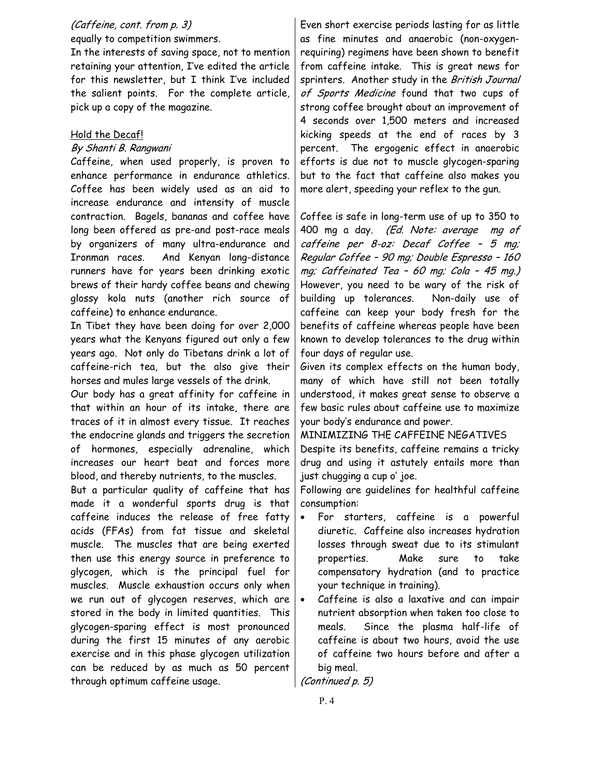#### (Caffeine, cont. from p. 3) equally to competition swimmers.

In the interests of saving space, not to mention retaining your attention, I've edited the article for this newsletter, but I think I've included the salient points. For the complete article, pick up a copy of the magazine.

## Hold the Decaf!

## By Shanti B. Rangwani

Caffeine, when used properly, is proven to enhance performance in endurance athletics. Coffee has been widely used as an aid to increase endurance and intensity of muscle contraction. Bagels, bananas and coffee have long been offered as pre-and post-race meals by organizers of many ultra-endurance and Ironman races. And Kenyan long-distance runners have for years been drinking exotic brews of their hardy coffee beans and chewing glossy kola nuts (another rich source of caffeine) to enhance endurance.

In Tibet they have been doing for over 2,000 years what the Kenyans figured out only a few years ago. Not only do Tibetans drink a lot of caffeine-rich tea, but the also give their horses and mules large vessels of the drink.

Our body has a great affinity for caffeine in that within an hour of its intake, there are traces of it in almost every tissue. It reaches the endocrine glands and triggers the secretion of hormones, especially adrenaline, which increases our heart beat and forces more blood, and thereby nutrients, to the muscles.

But a particular quality of caffeine that has made it a wonderful sports drug is that caffeine induces the release of free fatty acids (FFAs) from fat tissue and skeletal muscle. The muscles that are being exerted then use this energy source in preference to glycogen, which is the principal fuel for muscles. Muscle exhaustion occurs only when we run out of glycogen reserves, which are stored in the body in limited quantities. This glycogen-sparing effect is most pronounced during the first 15 minutes of any aerobic exercise and in this phase glycogen utilization can be reduced by as much as 50 percent through optimum caffeine usage.

Even short exercise periods lasting for as little as fine minutes and anaerobic (non-oxygenrequiring) regimens have been shown to benefit from caffeine intake. This is great news for sprinters. Another study in the British Journal of Sports Medicine found that two cups of strong coffee brought about an improvement of 4 seconds over 1,500 meters and increased kicking speeds at the end of races by 3 percent. The ergogenic effect in anaerobic efforts is due not to muscle glycogen-sparing but to the fact that caffeine also makes you more alert, speeding your reflex to the gun.

Coffee is safe in long-term use of up to 350 to 400 mg a day. (Ed. Note: average mg of caffeine per 8-oz: Decaf Coffee – 5 mg; Regular Coffee – 90 mg; Double Espresso – 160 mg; Caffeinated Tea – 60 mg; Cola – 45 mg.) However, you need to be wary of the risk of building up tolerances. Non-daily use of caffeine can keep your body fresh for the benefits of caffeine whereas people have been known to develop tolerances to the drug within four days of regular use.

Given its complex effects on the human body, many of which have still not been totally understood, it makes great sense to observe a few basic rules about caffeine use to maximize your body's endurance and power.

MINIMIZING THE CAFFEINE NEGATIVES Despite its benefits, caffeine remains a tricky drug and using it astutely entails more than just chugging a cup o' joe.

Following are guidelines for healthful caffeine consumption:

- For starters, caffeine is a powerful diuretic. Caffeine also increases hydration losses through sweat due to its stimulant properties. Make sure to take compensatory hydration (and to practice your technique in training).
- Caffeine is also a laxative and can impair nutrient absorption when taken too close to meals. Since the plasma half-life of caffeine is about two hours, avoid the use of caffeine two hours before and after a big meal.

(Continued p. 5)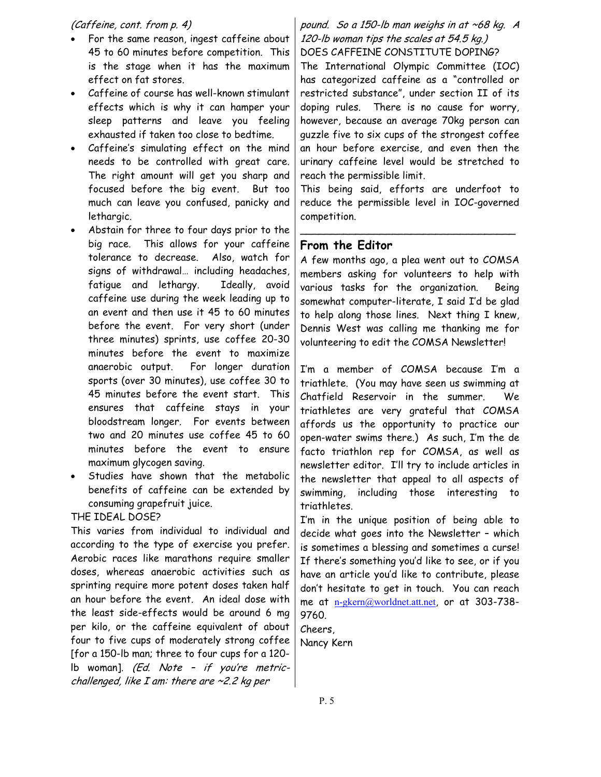#### (Caffeine, cont. from p. 4)

- For the same reason, ingest caffeine about 45 to 60 minutes before competition. This is the stage when it has the maximum effect on fat stores.
- Caffeine of course has well-known stimulant effects which is why it can hamper your sleep patterns and leave you feeling exhausted if taken too close to bedtime.
- Caffeine's simulating effect on the mind needs to be controlled with great care. The right amount will get you sharp and focused before the big event. But too much can leave you confused, panicky and lethargic.
- Abstain for three to four days prior to the big race. This allows for your caffeine tolerance to decrease. Also, watch for signs of withdrawal… including headaches, fatigue and lethargy. Ideally, avoid caffeine use during the week leading up to an event and then use it 45 to 60 minutes before the event. For very short (under three minutes) sprints, use coffee 20-30 minutes before the event to maximize anaerobic output. For longer duration sports (over 30 minutes), use coffee 30 to 45 minutes before the event start. This ensures that caffeine stays in your bloodstream longer. For events between two and 20 minutes use coffee 45 to 60 minutes before the event to ensure maximum glycogen saving.
- Studies have shown that the metabolic benefits of caffeine can be extended by consuming grapefruit juice.

#### THE IDEAL DOSE?

challenged, like I am: there are ~2.2 kg per This varies from individual to individual and according to the type of exercise you prefer. Aerobic races like marathons require smaller doses, whereas anaerobic activities such as sprinting require more potent doses taken half an hour before the event. An ideal dose with the least side-effects would be around 6 mg per kilo, or the caffeine equivalent of about four to five cups of moderately strong coffee [for a 150-lb man; three to four cups for a 120 lb woman]. (Ed. Note – if you're metric-

## pound. So a 150-lb man weighs in at ~68 kg. A 120-lb woman tips the scales at 54.5 kg.) DOES CAFFEINE CONSTITUTE DOPING?

The International Olympic Committee (IOC) has categorized caffeine as a "controlled or restricted substance", under section II of its doping rules. There is no cause for worry, however, because an average 70kg person can guzzle five to six cups of the strongest coffee an hour before exercise, and even then the urinary caffeine level would be stretched to reach the permissible limit.

This being said, efforts are underfoot to reduce the permissible level in IOC-governed competition.

\_\_\_\_\_\_\_\_\_\_\_\_\_\_\_\_\_\_\_\_\_\_\_\_\_\_\_\_\_\_\_\_\_\_\_

#### **From the Editor**

A few months ago, a plea went out to COMSA members asking for volunteers to help with various tasks for the organization. Being somewhat computer-literate, I said I'd be glad to help along those lines. Next thing I knew, Dennis West was calling me thanking me for volunteering to edit the COMSA Newsletter!

I'm a member of COMSA because I'm a triathlete. (You may have seen us swimming at Chatfield Reservoir in the summer. We triathletes are very grateful that COMSA affords us the opportunity to practice our open-water swims there.) As such, I'm the de facto triathlon rep for COMSA, as well as newsletter editor. I'll try to include articles in the newsletter that appeal to all aspects of swimming, including those interesting to triathletes.

I'm in the unique position of being able to decide what goes into the Newsletter – which is sometimes a blessing and sometimes a curse! If there's something you'd like to see, or if you have an article you'd like to contribute, please don't hesitate to get in touch. You can reach me at [n-gkern@worldnet.att.net](mailto:n-gkern@worldnet.att.net), or at 303-738- 9760.

Cheers, Nancy Kern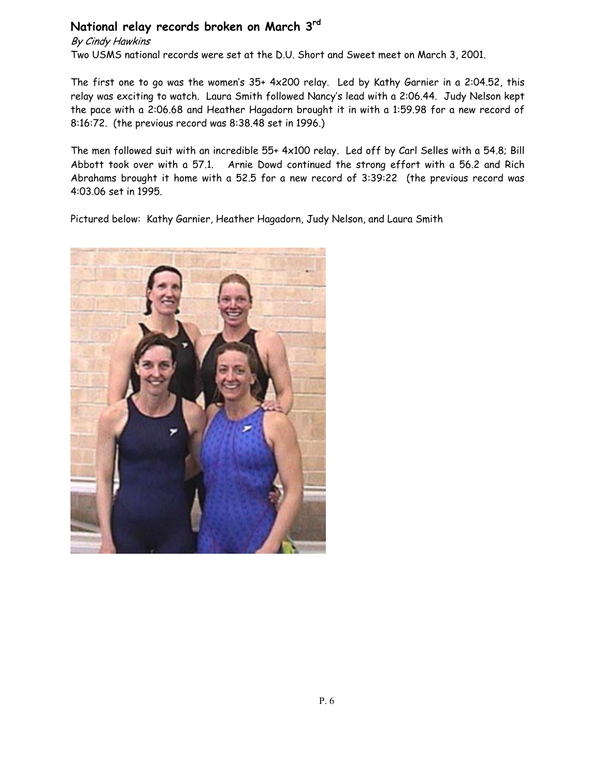# **National relay records broken on March 3rd**

By Cindy Hawkins

Two USMS national records were set at the D.U. Short and Sweet meet on March 3, 2001.

The first one to go was the women's 35+ 4x200 relay. Led by Kathy Garnier in a 2:04.52, this relay was exciting to watch. Laura Smith followed Nancy's lead with a 2:06.44. Judy Nelson kept the pace with a 2:06.68 and Heather Hagadorn brought it in with a 1:59.98 for a new record of 8:16:72. (the previous record was 8:38.48 set in 1996.)

The men followed suit with an incredible 55+ 4x100 relay. Led off by Carl Selles with a 54.8; Bill Abbott took over with a 57.1. Arnie Dowd continued the strong effort with a 56.2 and Rich Abrahams brought it home with a 52.5 for a new record of 3:39:22 (the previous record was 4:03.06 set in 1995.

Pictured below: Kathy Garnier, Heather Hagadorn, Judy Nelson, and Laura Smith